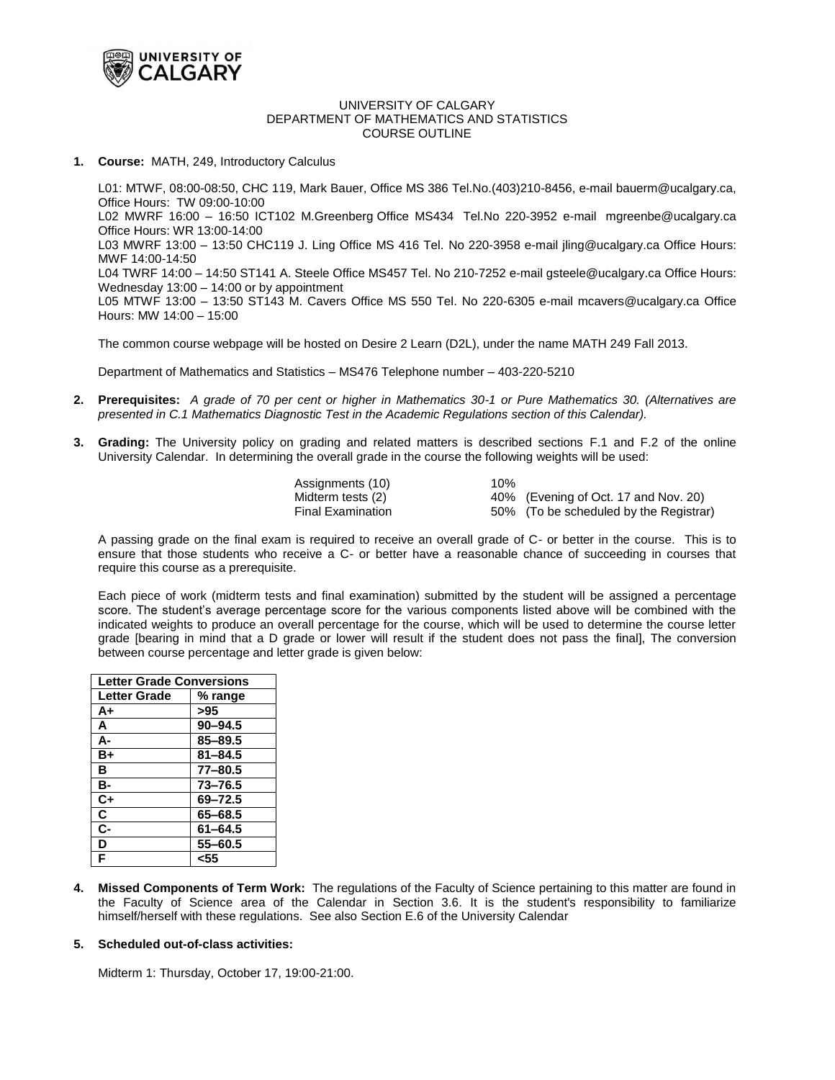

#### UNIVERSITY OF CALGARY DEPARTMENT OF MATHEMATICS AND STATISTICS COURSE OUTLINE

## **1. Course:** MATH, 249, Introductory Calculus

L01: MTWF, 08:00-08:50, CHC 119, Mark Bauer, Office MS 386 Tel.No.(403)210-8456, e-mail bauerm@ucalgary.ca, Office Hours: TW 09:00-10:00 L02 MWRF 16:00 – 16:50 ICT102 M.Greenberg Office MS434 Tel.No 220-3952 e-mail [mgreenbe@ucalgary.ca](mailto:mgreenbe@ucalgary.ca) Office Hours: WR 13:00-14:00 L03 MWRF 13:00 – 13:50 CHC119 J. Ling Office MS 416 Tel. No 220-3958 e-mail [jling@ucalgary.ca](mailto:jling@ucalgary.ca) Office Hours: MWF 14:00-14:50 L04 TWRF 14:00 – 14:50 ST141 A. Steele Office MS457 Tel. No 210-7252 e-mail gsteele@ucalgary.ca Office Hours: Wednesday 13:00 – 14:00 or by appointment L05 MTWF 13:00 – 13:50 ST143 M. Cavers Office MS 550 Tel. No 220-6305 e-mail mcavers@ucalgary.ca Office Hours: MW 14:00 – 15:00

The common course webpage will be hosted on Desire 2 Learn (D2L), under the name MATH 249 Fall 2013.

Department of Mathematics and Statistics – MS476 Telephone number – 403-220-5210

- **2. Prerequisites:** *A grade of 70 per cent or higher in Mathematics 30-1 or Pure Mathematics 30. (Alternatives are presented in C.1 Mathematics Diagnostic Test in the Academic Regulations section of this Calendar).*
- **3. Grading:** The University policy on grading and related matters is described sections [F.1](http://www.ucalgary.ca/pubs/calendar/current/f-1.html) and [F.2](http://www.ucalgary.ca/pubs/calendar/current/f-2.html) of the online University Calendar. In determining the overall grade in the course the following weights will be used:

| Assignments (10)         | 10% |                                        |
|--------------------------|-----|----------------------------------------|
| Midterm tests (2)        |     | 40% (Evening of Oct. 17 and Nov. 20)   |
| <b>Final Examination</b> |     | 50% (To be scheduled by the Registrar) |

A passing grade on the final exam is required to receive an overall grade of C- or better in the course. This is to ensure that those students who receive a C- or better have a reasonable chance of succeeding in courses that require this course as a prerequisite.

Each piece of work (midterm tests and final examination) submitted by the student will be assigned a percentage score. The student's average percentage score for the various components listed above will be combined with the indicated weights to produce an overall percentage for the course, which will be used to determine the course letter grade [bearing in mind that a D grade or lower will result if the student does not pass the final], The conversion between course percentage and letter grade is given below:

| <b>Letter Grade Conversions</b> |             |  |  |
|---------------------------------|-------------|--|--|
| <b>Letter Grade</b>             | % range     |  |  |
| A+                              | >95         |  |  |
| A                               | $90 - 94.5$ |  |  |
| А-                              | 85-89.5     |  |  |
| B+                              | $81 - 84.5$ |  |  |
| в                               | $77 - 80.5$ |  |  |
| в-                              | $73 - 76.5$ |  |  |
| $C+$                            | 69-72.5     |  |  |
| C                               | 65-68.5     |  |  |
| $c-$                            | $61 - 64.5$ |  |  |
| D                               | $55 - 60.5$ |  |  |
| F                               | <55         |  |  |

**4. Missed Components of Term Work:** The regulations of the Faculty of Science pertaining to this matter are found in the Faculty of Science area of the Calendar in [Section 3.6.](http://www.ucalgary.ca/pubs/calendar/current/sc-3-6.html) It is the student's responsibility to familiarize himself/herself with these regulations. See als[o Section E.6](http://www.ucalgary.ca/pubs/calendar/current/e-3.html) of the University Calendar

#### **5. Scheduled out-of-class activities:**

Midterm 1: Thursday, October 17, 19:00-21:00.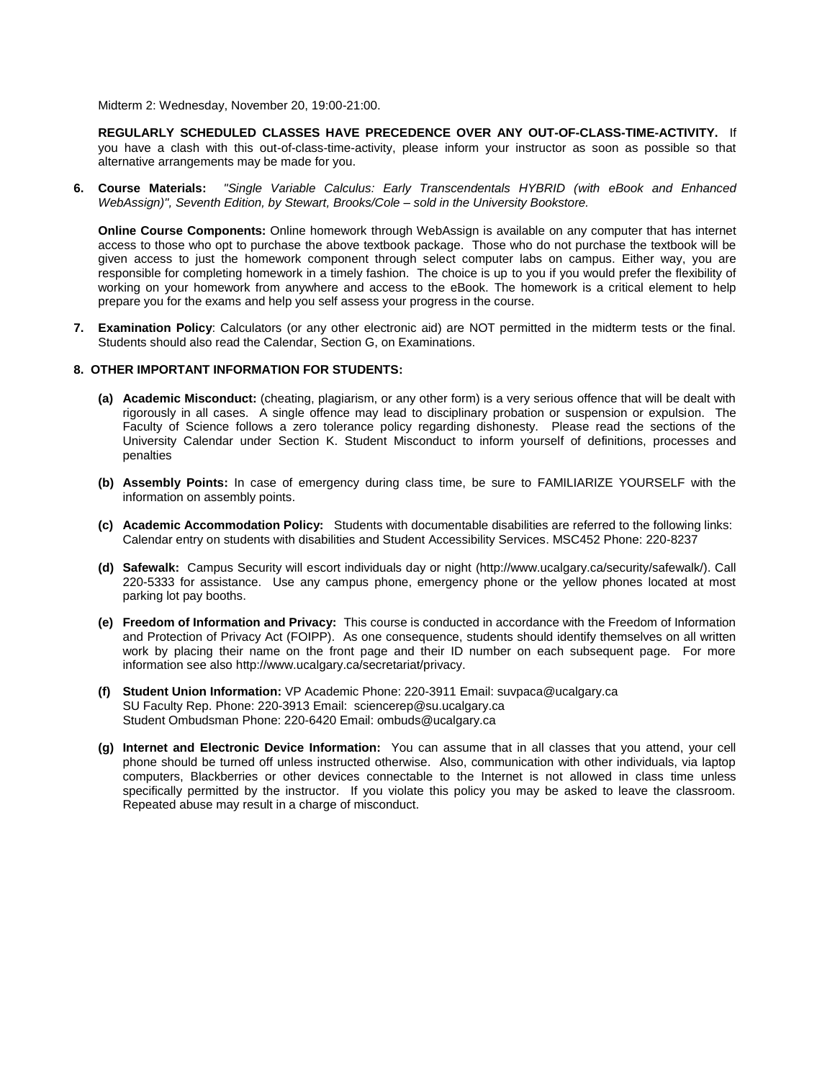Midterm 2: Wednesday, November 20, 19:00-21:00.

**REGULARLY SCHEDULED CLASSES HAVE PRECEDENCE OVER ANY OUT-OF-CLASS-TIME-ACTIVITY.** If you have a clash with this out-of-class-time-activity, please inform your instructor as soon as possible so that alternative arrangements may be made for you.

**6. Course Materials:** *"Single Variable Calculus: Early Transcendentals HYBRID (with eBook and Enhanced WebAssign)", Seventh Edition, by Stewart, Brooks/Cole – sold in the University Bookstore.*

**Online Course Components:** Online homework through WebAssign is available on any computer that has internet access to those who opt to purchase the above textbook package. Those who do not purchase the textbook will be given access to just the homework component through select computer labs on campus. Either way, you are responsible for completing homework in a timely fashion. The choice is up to you if you would prefer the flexibility of working on your homework from anywhere and access to the eBook. The homework is a critical element to help prepare you for the exams and help you self assess your progress in the course.

**7. Examination Policy**: Calculators (or any other electronic aid) are NOT permitted in the midterm tests or the final. Students should also read the Calendar, [Section G,](http://www.ucalgary.ca/pubs/calendar/current/g.html) on Examinations.

### **8. OTHER IMPORTANT INFORMATION FOR STUDENTS:**

- **(a) Academic Misconduct:** (cheating, plagiarism, or any other form) is a very serious offence that will be dealt with rigorously in all cases. A single offence may lead to disciplinary probation or suspension or expulsion. The Faculty of Science follows a zero tolerance policy regarding dishonesty. Please read the sections of the University Calendar under [Section K.](http://www.ucalgary.ca/pubs/calendar/current/k.html) Student Misconduct to inform yourself of definitions, processes and penalties
- **(b) Assembly Points:** In case of emergency during class time, be sure to FAMILIARIZE YOURSELF with the information o[n assembly points.](http://www.ucalgary.ca/emergencyplan/assemblypoints)
- **(c) Academic Accommodation Policy:** Students with documentable disabilities are referred to the following links: [Calendar entry on students with disabilities](http://www.ucalgary.ca/pubs/calendar/current/b-1.html) an[d Student Accessibility Services.](http://www.ucalgary.ca/access/) MSC452 Phone: 220-8237
- **(d) Safewalk:** Campus Security will escort individuals day or night (http://www.ucalgary.ca/security/safewalk/). Call 220-5333 for assistance. Use any campus phone, emergency phone or the yellow phones located at most parking lot pay booths.
- **(e) Freedom of Information and Privacy:** This course is conducted in accordance with the Freedom of Information and Protection of Privacy Act (FOIPP). As one consequence, students should identify themselves on all written work by placing their name on the front page and their ID number on each subsequent page. For more information see also http://www.ucalgary.ca/secretariat/privacy.
- **(f) Student Union Information:** [VP Academic](http://www.su.ucalgary.ca/home/contact.html) Phone: 220-3911 Email[: suvpaca@ucalgary.ca](mailto:suvpaca@ucalgary.ca) SU Faculty Rep. Phone: 220-3913 Email: [sciencerep@su.ucalgary.ca](mailto:sciencerep@su.ucalgary.ca) [Student Ombudsman](http://www.su.ucalgary.ca/services/student-services/student-rights.html) Phone: 220-6420 Email: ombuds@ucalgary.ca
- **(g) Internet and Electronic Device Information:** You can assume that in all classes that you attend, your cell phone should be turned off unless instructed otherwise. Also, communication with other individuals, via laptop computers, Blackberries or other devices connectable to the Internet is not allowed in class time unless specifically permitted by the instructor. If you violate this policy you may be asked to leave the classroom. Repeated abuse may result in a charge of misconduct.